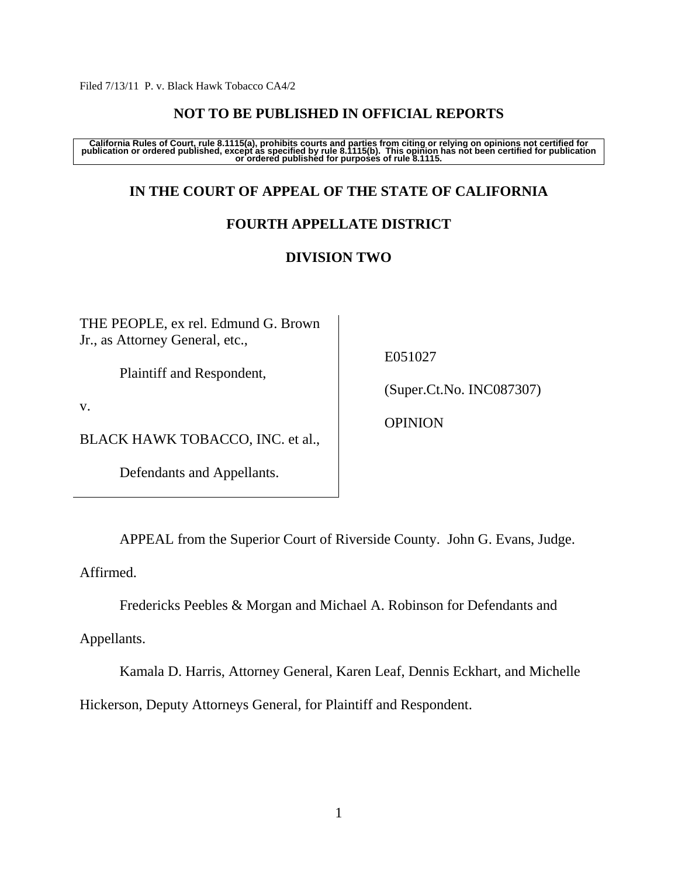Filed 7/13/11 P. v. Black Hawk Tobacco CA4/2

## **NOT TO BE PUBLISHED IN OFFICIAL REPORTS**

California Rules of Court, rule 8.1115(a), prohibits courts and parties from citing or relying on opinions not certified for<br>publication or ordered published, except as specified by rule 8.1115(b). This opinion has not bee

# **IN THE COURT OF APPEAL OF THE STATE OF CALIFORNIA**

# **FOURTH APPELLATE DISTRICT**

# **DIVISION TWO**

THE PEOPLE, ex rel. Edmund G. Brown Jr., as Attorney General, etc.,

Plaintiff and Respondent,

v.

BLACK HAWK TOBACCO, INC. et al.,

Defendants and Appellants.

E051027

(Super.Ct.No. INC087307)

OPINION

APPEAL from the Superior Court of Riverside County. John G. Evans, Judge.

Affirmed.

Fredericks Peebles & Morgan and Michael A. Robinson for Defendants and

Appellants.

 Kamala D. Harris, Attorney General, Karen Leaf, Dennis Eckhart, and Michelle Hickerson, Deputy Attorneys General, for Plaintiff and Respondent.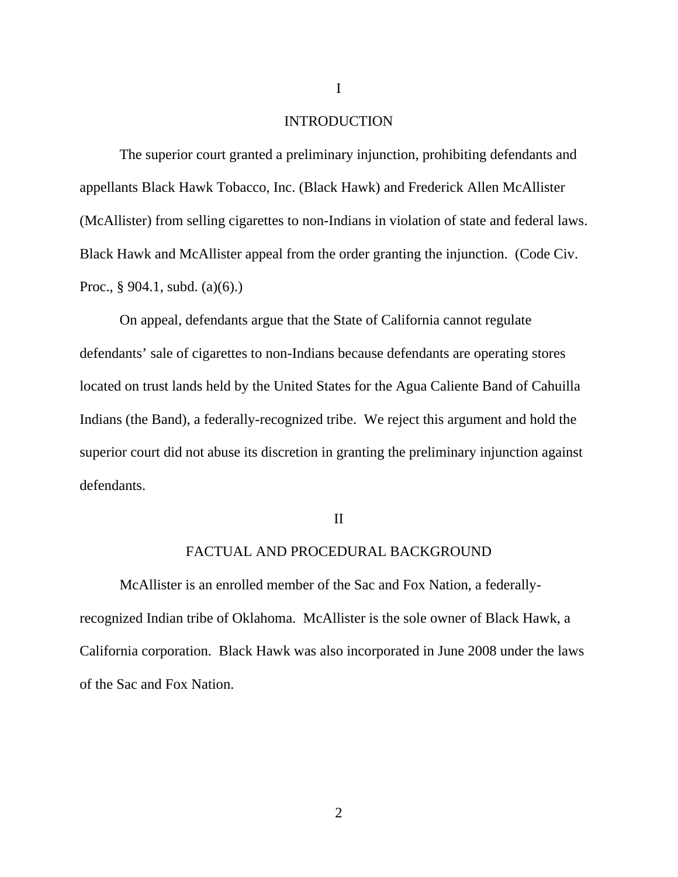## INTRODUCTION

 The superior court granted a preliminary injunction, prohibiting defendants and appellants Black Hawk Tobacco, Inc. (Black Hawk) and Frederick Allen McAllister (McAllister) from selling cigarettes to non-Indians in violation of state and federal laws. Black Hawk and McAllister appeal from the order granting the injunction. (Code Civ. Proc., § 904.1, subd. (a)(6).)

 On appeal, defendants argue that the State of California cannot regulate defendants' sale of cigarettes to non-Indians because defendants are operating stores located on trust lands held by the United States for the Agua Caliente Band of Cahuilla Indians (the Band), a federally-recognized tribe. We reject this argument and hold the superior court did not abuse its discretion in granting the preliminary injunction against defendants.

### II

## FACTUAL AND PROCEDURAL BACKGROUND

 McAllister is an enrolled member of the Sac and Fox Nation, a federallyrecognized Indian tribe of Oklahoma. McAllister is the sole owner of Black Hawk, a California corporation. Black Hawk was also incorporated in June 2008 under the laws of the Sac and Fox Nation.

I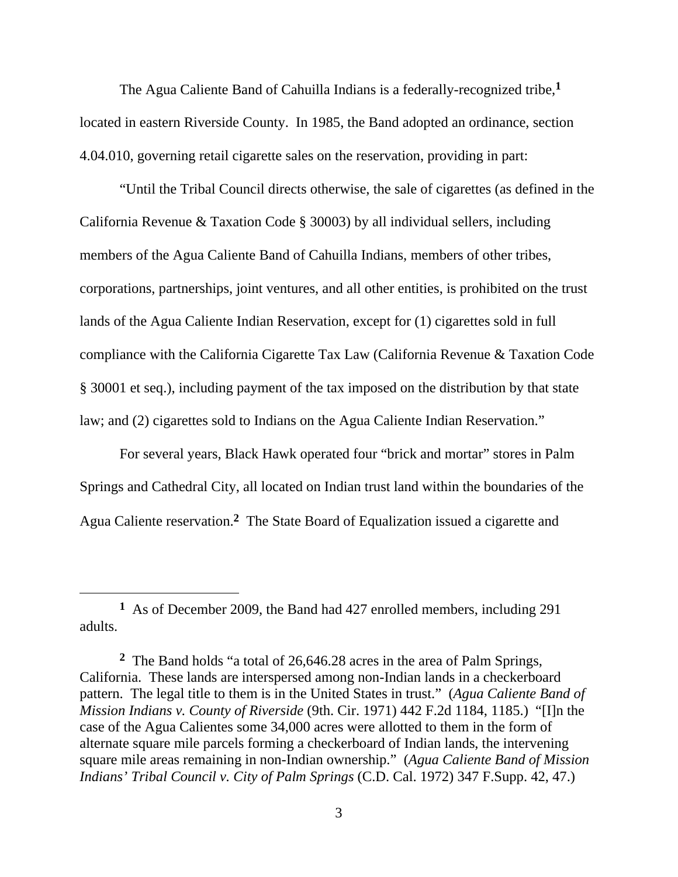The Agua Caliente Band of Cahuilla Indians is a federally-recognized tribe,**<sup>1</sup>** located in eastern Riverside County. In 1985, the Band adopted an ordinance, section 4.04.010, governing retail cigarette sales on the reservation, providing in part:

 "Until the Tribal Council directs otherwise, the sale of cigarettes (as defined in the California Revenue & Taxation Code § 30003) by all individual sellers, including members of the Agua Caliente Band of Cahuilla Indians, members of other tribes, corporations, partnerships, joint ventures, and all other entities, is prohibited on the trust lands of the Agua Caliente Indian Reservation, except for (1) cigarettes sold in full compliance with the California Cigarette Tax Law (California Revenue & Taxation Code § 30001 et seq.), including payment of the tax imposed on the distribution by that state law; and (2) cigarettes sold to Indians on the Agua Caliente Indian Reservation."

 For several years, Black Hawk operated four "brick and mortar" stores in Palm Springs and Cathedral City, all located on Indian trust land within the boundaries of the Agua Caliente reservation.**2** The State Board of Equalization issued a cigarette and

 $\overline{a}$ 

**<sup>1</sup>** As of December 2009, the Band had 427 enrolled members, including 291 adults.

**<sup>2</sup>** The Band holds "a total of 26,646.28 acres in the area of Palm Springs, California. These lands are interspersed among non-Indian lands in a checkerboard pattern. The legal title to them is in the United States in trust." (*Agua Caliente Band of Mission Indians v. County of Riverside* (9th. Cir. 1971) 442 F.2d 1184, 1185.) "[I]n the case of the Agua Calientes some 34,000 acres were allotted to them in the form of alternate square mile parcels forming a checkerboard of Indian lands, the intervening square mile areas remaining in non-Indian ownership." (*Agua Caliente Band of Mission Indians' Tribal Council v. City of Palm Springs* (C.D. Cal. 1972) 347 F.Supp. 42, 47.)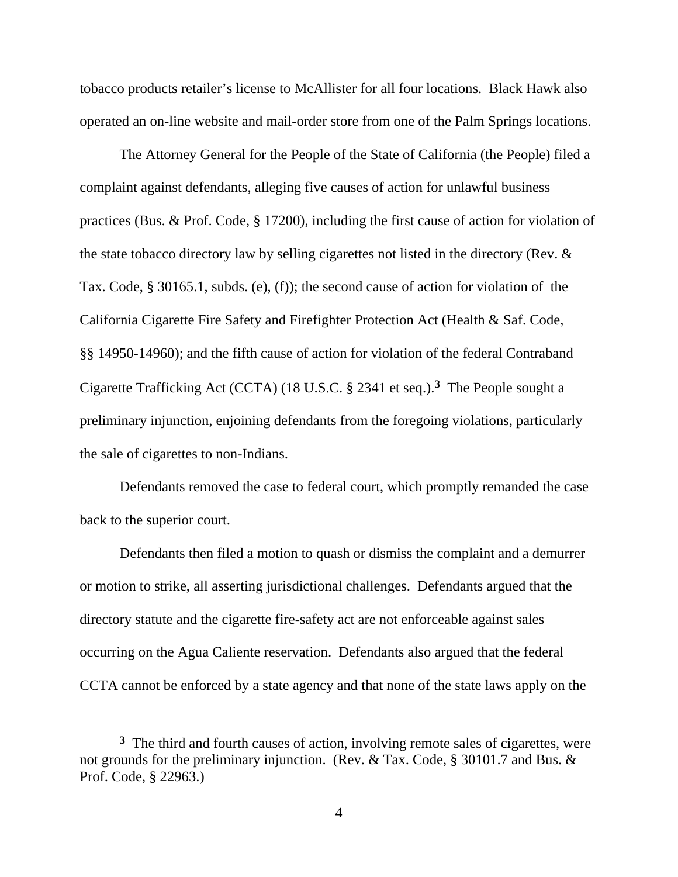tobacco products retailer's license to McAllister for all four locations. Black Hawk also operated an on-line website and mail-order store from one of the Palm Springs locations.

The Attorney General for the People of the State of California (the People) filed a complaint against defendants, alleging five causes of action for unlawful business practices (Bus. & Prof. Code, § 17200), including the first cause of action for violation of the state tobacco directory law by selling cigarettes not listed in the directory (Rev. & Tax. Code, § 30165.1, subds. (e), (f)); the second cause of action for violation of the California Cigarette Fire Safety and Firefighter Protection Act (Health & Saf. Code, §§ 14950-14960); and the fifth cause of action for violation of the federal Contraband Cigarette Trafficking Act (CCTA) (18 U.S.C. § 2341 et seq.).**3** The People sought a preliminary injunction, enjoining defendants from the foregoing violations, particularly the sale of cigarettes to non-Indians.

 Defendants removed the case to federal court, which promptly remanded the case back to the superior court.

 Defendants then filed a motion to quash or dismiss the complaint and a demurrer or motion to strike, all asserting jurisdictional challenges. Defendants argued that the directory statute and the cigarette fire-safety act are not enforceable against sales occurring on the Agua Caliente reservation. Defendants also argued that the federal CCTA cannot be enforced by a state agency and that none of the state laws apply on the

 $\overline{a}$ 

**<sup>3</sup>** The third and fourth causes of action, involving remote sales of cigarettes, were not grounds for the preliminary injunction. (Rev. & Tax. Code, § 30101.7 and Bus. & Prof. Code, § 22963.)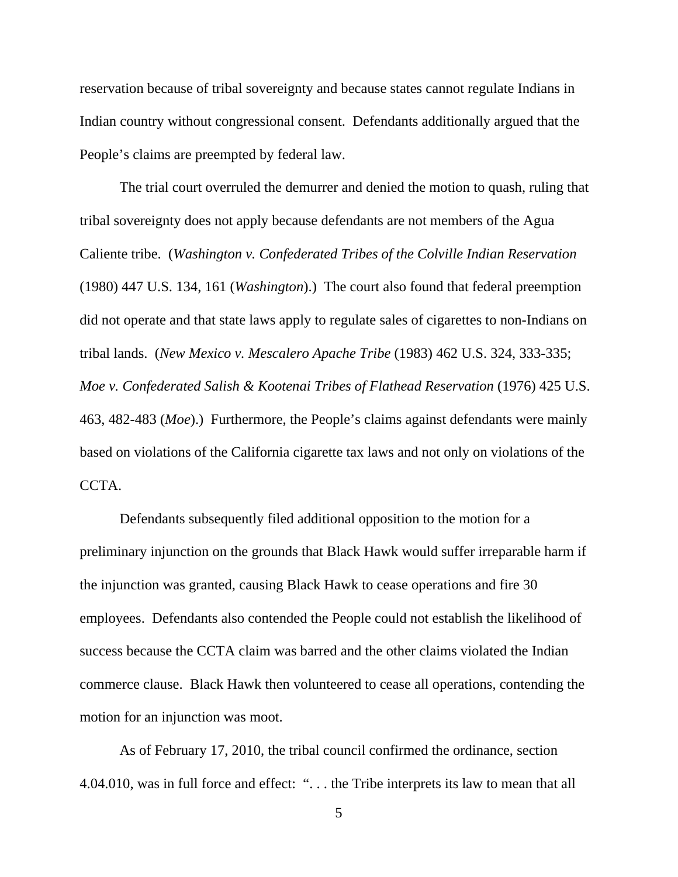reservation because of tribal sovereignty and because states cannot regulate Indians in Indian country without congressional consent. Defendants additionally argued that the People's claims are preempted by federal law.

 The trial court overruled the demurrer and denied the motion to quash, ruling that tribal sovereignty does not apply because defendants are not members of the Agua Caliente tribe. (*Washington v. Confederated Tribes of the Colville Indian Reservation* (1980) 447 U.S. 134, 161 (*Washington*).) The court also found that federal preemption did not operate and that state laws apply to regulate sales of cigarettes to non-Indians on tribal lands. (*New Mexico v. Mescalero Apache Tribe* (1983) 462 U.S. 324, 333-335; *Moe v. Confederated Salish & Kootenai Tribes of Flathead Reservation* (1976) 425 U.S. 463, 482-483 (*Moe*).) Furthermore, the People's claims against defendants were mainly based on violations of the California cigarette tax laws and not only on violations of the CCTA.

 Defendants subsequently filed additional opposition to the motion for a preliminary injunction on the grounds that Black Hawk would suffer irreparable harm if the injunction was granted, causing Black Hawk to cease operations and fire 30 employees. Defendants also contended the People could not establish the likelihood of success because the CCTA claim was barred and the other claims violated the Indian commerce clause. Black Hawk then volunteered to cease all operations, contending the motion for an injunction was moot.

 As of February 17, 2010, the tribal council confirmed the ordinance, section 4.04.010, was in full force and effect: ". . . the Tribe interprets its law to mean that all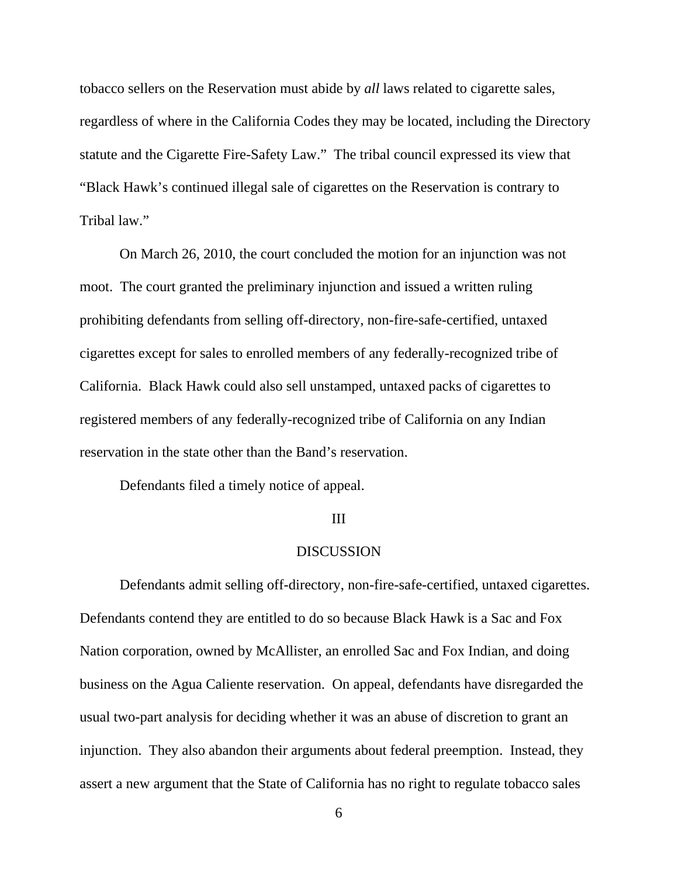tobacco sellers on the Reservation must abide by *all* laws related to cigarette sales, regardless of where in the California Codes they may be located, including the Directory statute and the Cigarette Fire-Safety Law." The tribal council expressed its view that "Black Hawk's continued illegal sale of cigarettes on the Reservation is contrary to Tribal law."

 On March 26, 2010, the court concluded the motion for an injunction was not moot. The court granted the preliminary injunction and issued a written ruling prohibiting defendants from selling off-directory, non-fire-safe-certified, untaxed cigarettes except for sales to enrolled members of any federally-recognized tribe of California. Black Hawk could also sell unstamped, untaxed packs of cigarettes to registered members of any federally-recognized tribe of California on any Indian reservation in the state other than the Band's reservation.

Defendants filed a timely notice of appeal.

#### III

#### **DISCUSSION**

 Defendants admit selling off-directory, non-fire-safe-certified, untaxed cigarettes. Defendants contend they are entitled to do so because Black Hawk is a Sac and Fox Nation corporation, owned by McAllister, an enrolled Sac and Fox Indian, and doing business on the Agua Caliente reservation. On appeal, defendants have disregarded the usual two-part analysis for deciding whether it was an abuse of discretion to grant an injunction. They also abandon their arguments about federal preemption. Instead, they assert a new argument that the State of California has no right to regulate tobacco sales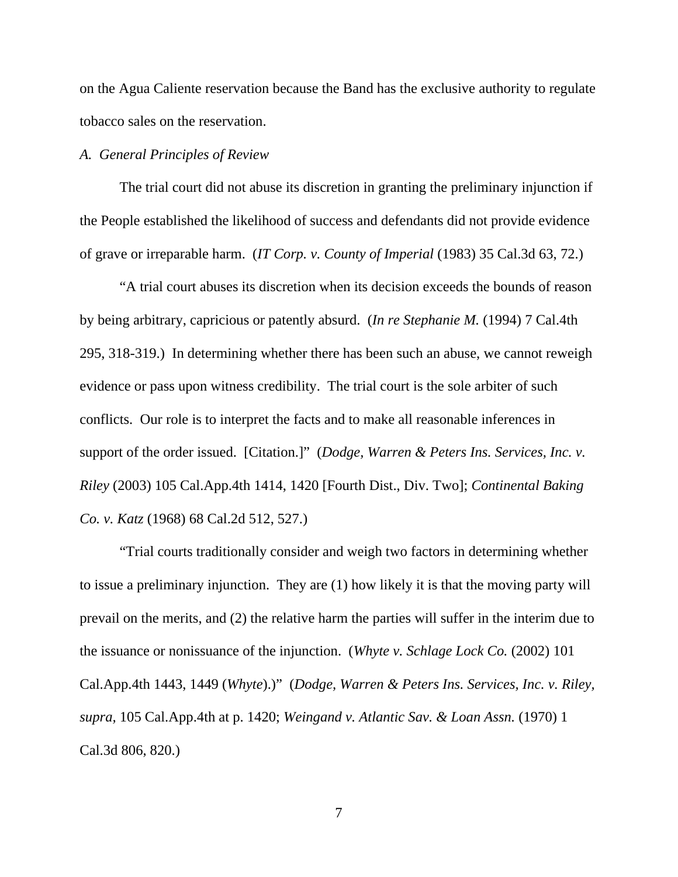on the Agua Caliente reservation because the Band has the exclusive authority to regulate tobacco sales on the reservation.

## *A. General Principles of Review*

The trial court did not abuse its discretion in granting the preliminary injunction if the People established the likelihood of success and defendants did not provide evidence of grave or irreparable harm. (*IT Corp. v. County of Imperial* (1983) 35 Cal.3d 63, 72.)

 "A trial court abuses its discretion when its decision exceeds the bounds of reason by being arbitrary, capricious or patently absurd. (*In re Stephanie M.* (1994) 7 Cal.4th 295, 318-319.) In determining whether there has been such an abuse, we cannot reweigh evidence or pass upon witness credibility. The trial court is the sole arbiter of such conflicts. Our role is to interpret the facts and to make all reasonable inferences in support of the order issued. [Citation.]" (*Dodge, Warren & Peters Ins. Services, Inc. v. Riley* (2003) 105 Cal.App.4th 1414, 1420 [Fourth Dist., Div. Two]; *Continental Baking Co. v. Katz* (1968) 68 Cal.2d 512, 527.)

"Trial courts traditionally consider and weigh two factors in determining whether to issue a preliminary injunction. They are (1) how likely it is that the moving party will prevail on the merits, and (2) the relative harm the parties will suffer in the interim due to the issuance or nonissuance of the injunction. (*Whyte v. Schlage Lock Co.* (2002) 101 Cal.App.4th 1443, 1449 (*Whyte*).)" (*Dodge, Warren & Peters Ins. Services, Inc. v. Riley, supra,* 105 Cal.App.4th at p. 1420; *Weingand v. Atlantic Sav. & Loan Assn.* (1970) 1 Cal.3d 806, 820.)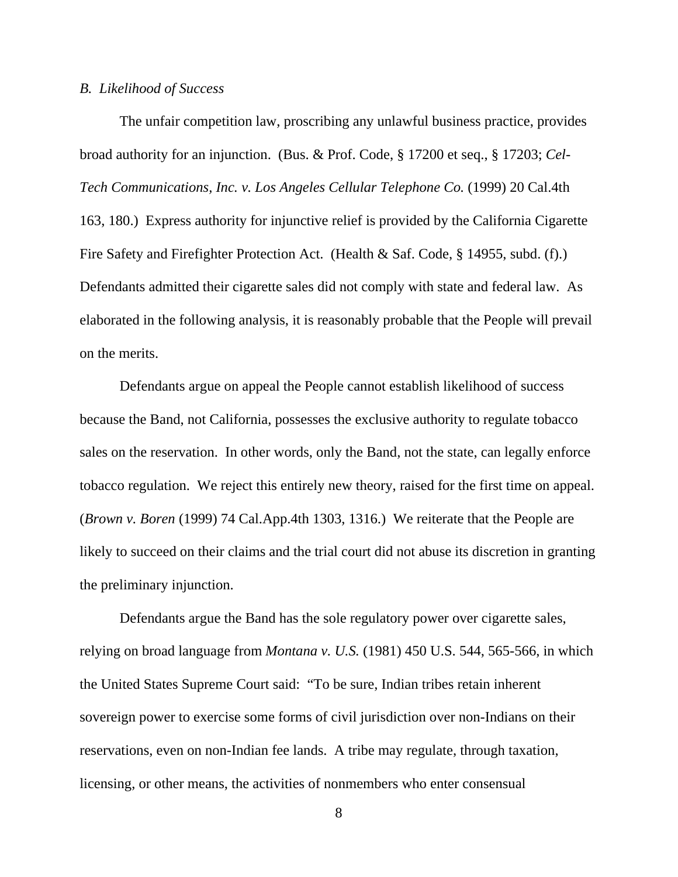### *B. Likelihood of Success*

The unfair competition law, proscribing any unlawful business practice, provides broad authority for an injunction. (Bus. & Prof. Code, § 17200 et seq., § 17203; *Cel-Tech Communications, Inc. v. Los Angeles Cellular Telephone Co.* (1999) 20 Cal.4th 163, 180.) Express authority for injunctive relief is provided by the California Cigarette Fire Safety and Firefighter Protection Act. (Health & Saf. Code, § 14955, subd. (f).) Defendants admitted their cigarette sales did not comply with state and federal law. As elaborated in the following analysis, it is reasonably probable that the People will prevail on the merits.

Defendants argue on appeal the People cannot establish likelihood of success because the Band, not California, possesses the exclusive authority to regulate tobacco sales on the reservation. In other words, only the Band, not the state, can legally enforce tobacco regulation. We reject this entirely new theory, raised for the first time on appeal. (*Brown v. Boren* (1999) 74 Cal.App.4th 1303, 1316.) We reiterate that the People are likely to succeed on their claims and the trial court did not abuse its discretion in granting the preliminary injunction.

Defendants argue the Band has the sole regulatory power over cigarette sales, relying on broad language from *Montana v. U.S.* (1981) 450 U.S. 544, 565-566, in which the United States Supreme Court said: "To be sure, Indian tribes retain inherent sovereign power to exercise some forms of civil jurisdiction over non-Indians on their reservations, even on non-Indian fee lands. A tribe may regulate, through taxation, licensing, or other means, the activities of nonmembers who enter consensual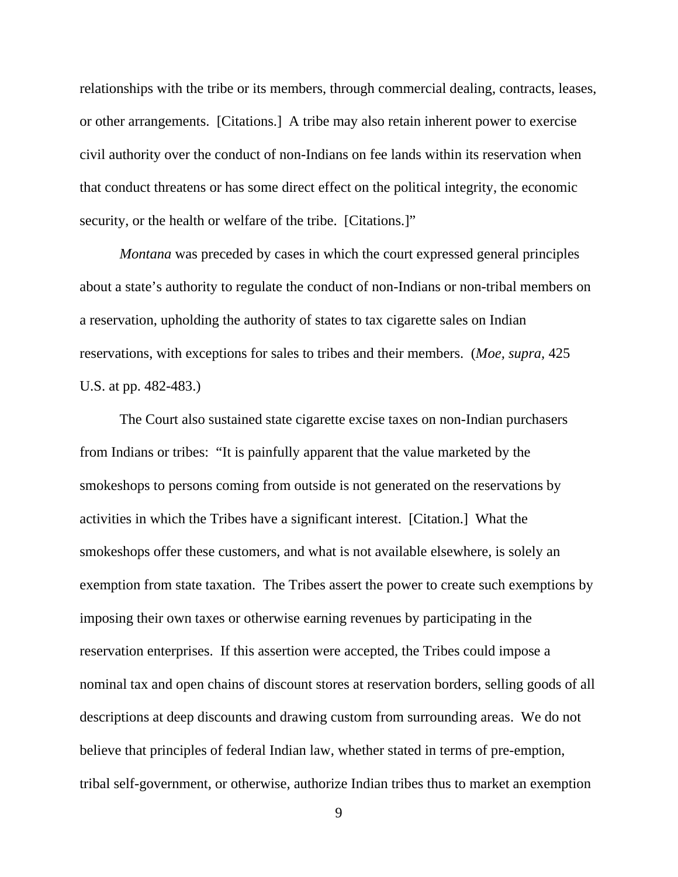relationships with the tribe or its members, through commercial dealing, contracts, leases, or other arrangements. [Citations.] A tribe may also retain inherent power to exercise civil authority over the conduct of non-Indians on fee lands within its reservation when that conduct threatens or has some direct effect on the political integrity, the economic security, or the health or welfare of the tribe. [Citations.]"

*Montana* was preceded by cases in which the court expressed general principles about a state's authority to regulate the conduct of non-Indians or non-tribal members on a reservation, upholding the authority of states to tax cigarette sales on Indian reservations, with exceptions for sales to tribes and their members. (*Moe, supra,* 425 U.S. at pp. 482-483.)

The Court also sustained state cigarette excise taxes on non-Indian purchasers from Indians or tribes: "It is painfully apparent that the value marketed by the smokeshops to persons coming from outside is not generated on the reservations by activities in which the Tribes have a significant interest. [Citation.] What the smokeshops offer these customers, and what is not available elsewhere, is solely an exemption from state taxation. The Tribes assert the power to create such exemptions by imposing their own taxes or otherwise earning revenues by participating in the reservation enterprises. If this assertion were accepted, the Tribes could impose a nominal tax and open chains of discount stores at reservation borders, selling goods of all descriptions at deep discounts and drawing custom from surrounding areas. We do not believe that principles of federal Indian law, whether stated in terms of pre-emption, tribal self-government, or otherwise, authorize Indian tribes thus to market an exemption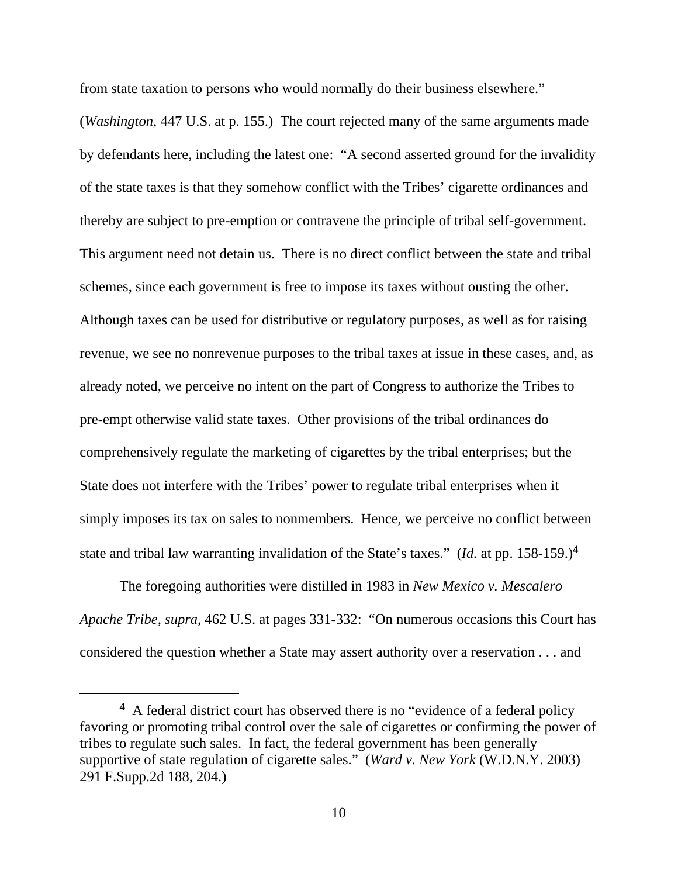from state taxation to persons who would normally do their business elsewhere."

(*Washington,* 447 U.S. at p. 155.) The court rejected many of the same arguments made by defendants here, including the latest one: "A second asserted ground for the invalidity of the state taxes is that they somehow conflict with the Tribes' cigarette ordinances and thereby are subject to pre-emption or contravene the principle of tribal self-government. This argument need not detain us. There is no direct conflict between the state and tribal schemes, since each government is free to impose its taxes without ousting the other. Although taxes can be used for distributive or regulatory purposes, as well as for raising revenue, we see no nonrevenue purposes to the tribal taxes at issue in these cases, and, as already noted, we perceive no intent on the part of Congress to authorize the Tribes to pre-empt otherwise valid state taxes. Other provisions of the tribal ordinances do comprehensively regulate the marketing of cigarettes by the tribal enterprises; but the State does not interfere with the Tribes' power to regulate tribal enterprises when it simply imposes its tax on sales to nonmembers. Hence, we perceive no conflict between state and tribal law warranting invalidation of the State's taxes." (*Id.* at pp. 158-159.)**<sup>4</sup>**

The foregoing authorities were distilled in 1983 in *New Mexico v. Mescalero Apache Tribe, supra,* 462 U.S. at pages 331-332: "On numerous occasions this Court has considered the question whether a State may assert authority over a reservation . . . and

 $\overline{a}$ 

**<sup>4</sup>** A federal district court has observed there is no "evidence of a federal policy favoring or promoting tribal control over the sale of cigarettes or confirming the power of tribes to regulate such sales. In fact, the federal government has been generally supportive of state regulation of cigarette sales." (*Ward v. New York* (W.D.N.Y. 2003) 291 F.Supp.2d 188, 204.)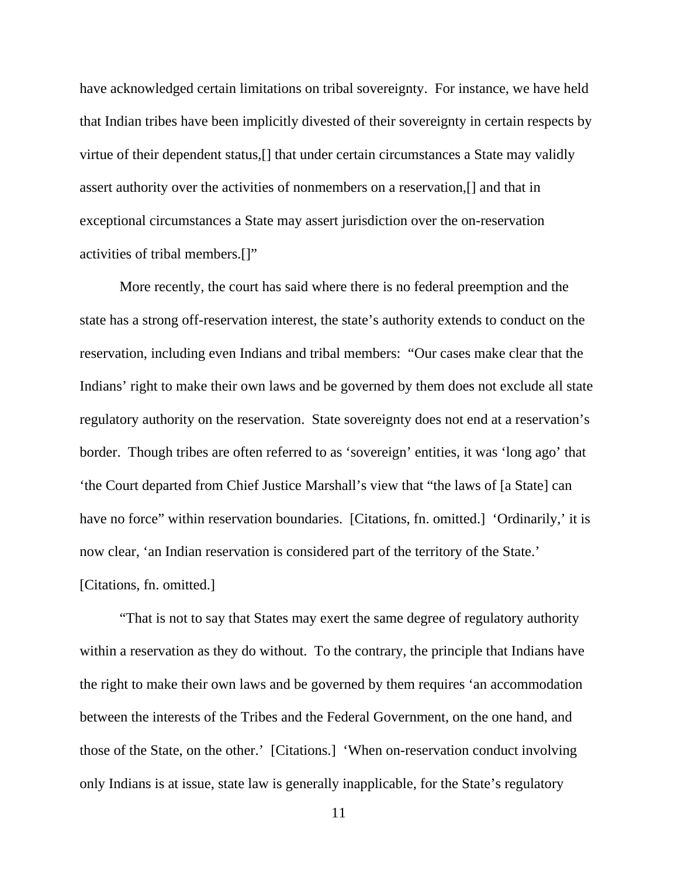have acknowledged certain limitations on tribal sovereignty. For instance, we have held that Indian tribes have been implicitly divested of their sovereignty in certain respects by virtue of their dependent status,[] that under certain circumstances a State may validly assert authority over the activities of nonmembers on a reservation,[] and that in exceptional circumstances a State may assert jurisdiction over the on-reservation activities of tribal members.[]"

More recently, the court has said where there is no federal preemption and the state has a strong off-reservation interest, the state's authority extends to conduct on the reservation, including even Indians and tribal members: "Our cases make clear that the Indians' right to make their own laws and be governed by them does not exclude all state regulatory authority on the reservation. State sovereignty does not end at a reservation's border. Though tribes are often referred to as 'sovereign' entities, it was 'long ago' that 'the Court departed from Chief Justice Marshall's view that "the laws of [a State] can have no force" within reservation boundaries. [Citations, fn. omitted.] 'Ordinarily,' it is now clear, 'an Indian reservation is considered part of the territory of the State.' [Citations, fn. omitted.]

"That is not to say that States may exert the same degree of regulatory authority within a reservation as they do without. To the contrary, the principle that Indians have the right to make their own laws and be governed by them requires 'an accommodation between the interests of the Tribes and the Federal Government, on the one hand, and those of the State, on the other.' [Citations.] 'When on-reservation conduct involving only Indians is at issue, state law is generally inapplicable, for the State's regulatory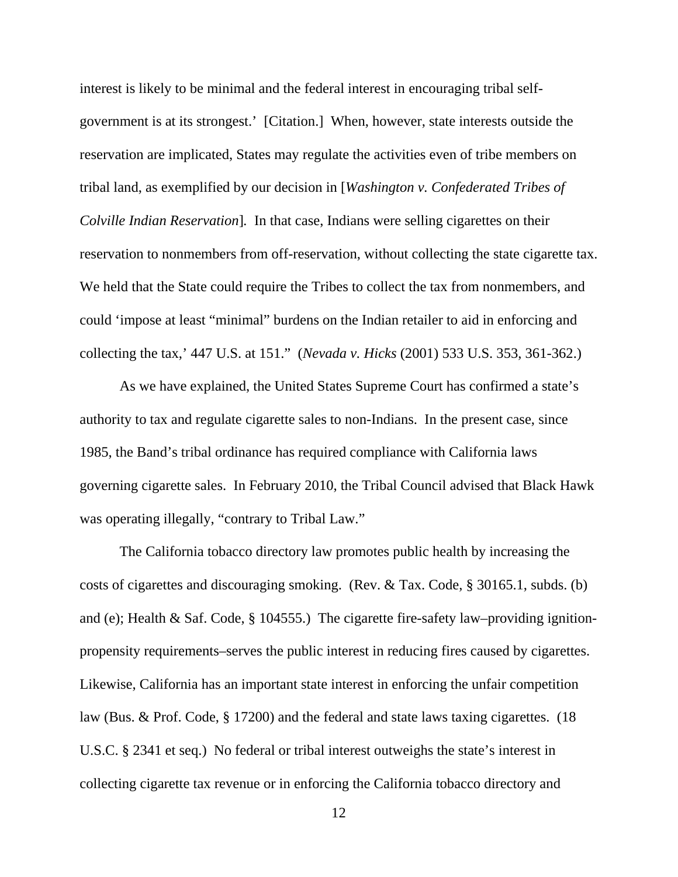interest is likely to be minimal and the federal interest in encouraging tribal selfgovernment is at its strongest.' [Citation.] When, however, state interests outside the reservation are implicated, States may regulate the activities even of tribe members on tribal land, as exemplified by our decision in [*Washington v. Confederated Tribes of Colville Indian Reservation*]*.* In that case, Indians were selling cigarettes on their reservation to nonmembers from off-reservation, without collecting the state cigarette tax. We held that the State could require the Tribes to collect the tax from nonmembers, and could 'impose at least "minimal" burdens on the Indian retailer to aid in enforcing and collecting the tax,' 447 U.S. at 151." (*Nevada v. Hicks* (2001) 533 U.S. 353, 361-362.)

As we have explained, the United States Supreme Court has confirmed a state's authority to tax and regulate cigarette sales to non-Indians. In the present case, since 1985, the Band's tribal ordinance has required compliance with California laws governing cigarette sales. In February 2010, the Tribal Council advised that Black Hawk was operating illegally, "contrary to Tribal Law."

The California tobacco directory law promotes public health by increasing the costs of cigarettes and discouraging smoking. (Rev. & Tax. Code, § 30165.1, subds. (b) and (e); Health & Saf. Code, § 104555.) The cigarette fire-safety law–providing ignitionpropensity requirements–serves the public interest in reducing fires caused by cigarettes. Likewise, California has an important state interest in enforcing the unfair competition law (Bus. & Prof. Code, § 17200) and the federal and state laws taxing cigarettes. (18 U.S.C. § 2341 et seq.) No federal or tribal interest outweighs the state's interest in collecting cigarette tax revenue or in enforcing the California tobacco directory and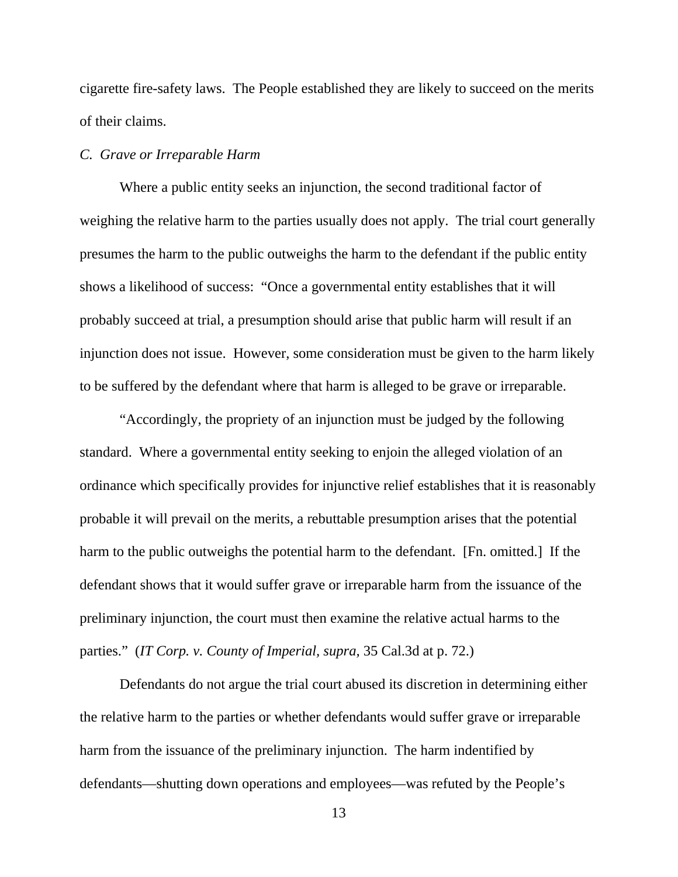cigarette fire-safety laws. The People established they are likely to succeed on the merits of their claims.

#### *C. Grave or Irreparable Harm*

Where a public entity seeks an injunction, the second traditional factor of weighing the relative harm to the parties usually does not apply. The trial court generally presumes the harm to the public outweighs the harm to the defendant if the public entity shows a likelihood of success: "Once a governmental entity establishes that it will probably succeed at trial, a presumption should arise that public harm will result if an injunction does not issue. However, some consideration must be given to the harm likely to be suffered by the defendant where that harm is alleged to be grave or irreparable.

"Accordingly, the propriety of an injunction must be judged by the following standard. Where a governmental entity seeking to enjoin the alleged violation of an ordinance which specifically provides for injunctive relief establishes that it is reasonably probable it will prevail on the merits, a rebuttable presumption arises that the potential harm to the public outweighs the potential harm to the defendant. [Fn. omitted.] If the defendant shows that it would suffer grave or irreparable harm from the issuance of the preliminary injunction, the court must then examine the relative actual harms to the parties." (*IT Corp. v. County of Imperial, supra,* 35 Cal.3d at p. 72.)

Defendants do not argue the trial court abused its discretion in determining either the relative harm to the parties or whether defendants would suffer grave or irreparable harm from the issuance of the preliminary injunction. The harm indentified by defendants—shutting down operations and employees—was refuted by the People's